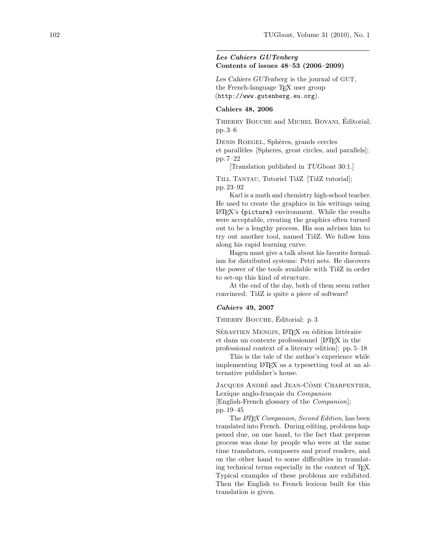# Les Cahiers GUTenberg Contents of issues 48–53 (2006–2009)

Les Cahiers GUTenberg is the journal of GUT, the French-language TEX user group (http://www.gutenberg.eu.org).

# Cahiers 48, 2006

THIERRY BOUCHE and MICHEL BOVANI, Editorial; pp. 3–6

DENIS ROEGEL, Sphères, grands cercles et parallèles [Spheres, great circles, and parallels]; pp. 7–22

[Translation published in TUGboat 30:1.]

TILL TANTAU, Tutoriel TikZ [TikZ tutorial]; pp. 23–92

Karl is a math and chemistry high-school teacher. He used to create the graphics in his writings using LATEX's {picture} environment. While the results were acceptable, creating the graphics often turned out to be a lengthy process. His son advises him to try out another tool, named TikZ. We follow him along his rapid learning curve.

Hagen must give a talk about his favorite formalism for distributed systems: Petri nets. He discovers the power of the tools available with TikZ in order to set-up this kind of structure.

At the end of the day, both of them seem rather convinced: TikZ is quite a piece of software!

#### Cahiers 49, 2007

THIERRY BOUCHE, Editorial; p. 3

SÉBASTIEN MENGIN, L<sup>A</sup>TEX en édition littéraire et dans un contexte professionnel [LATEX in the professional context of a literary edition]; pp. 5–18

This is the tale of the author's experience while implementing LATEX as a typesetting tool at an alternative publisher's house.

JACQUES ANDRÉ and JEAN-CÔME CHARPENTIER, Lexique anglo-français du Companion [English-French glossary of the Companion]; pp. 19–45

The L<sup>AT</sup>EX Companion, Second Edition, has been translated into French. During editing, problems happened due, on one hand, to the fact that prepress process was done by people who were at the same time translators, composers and proof readers, and on the other hand to some difficulties in translating technical terms especially in the context of TEX. Typical examples of these problems are exhibited. Then the English to French lexicon built for this translation is given.